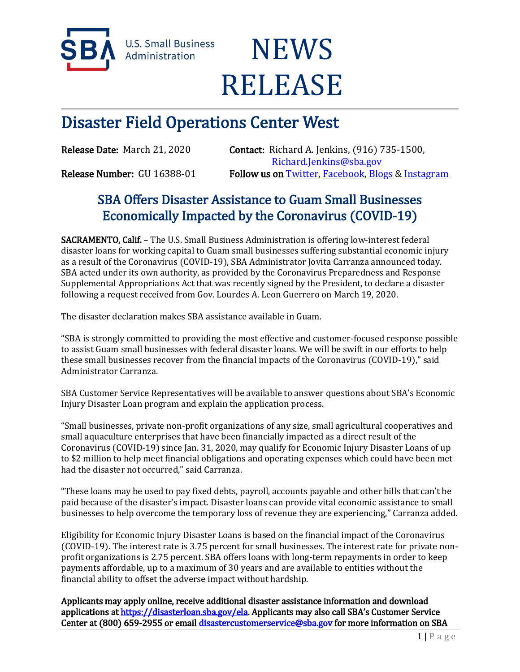

**U.S. Small Business** Administration

## **NEWS** RELEASE

## Disaster Field Operations Center West

Release Date: March 21, 2020 Contact: Richard A. Jenkins, (916) 735-1500, [Richard.Jenkins@sba.gov](mailto:Richard.Jenkins@sba.gov)  Release Number: GU 16388-01 Follow us o[n Twitter,](http://www.twitter.com/SBAgov) [Facebook,](http://www.facebook.com/sbagov) [Blogs](http://www.sba.gov/blogs) & Instagram

## SBA Offers Disaster Assistance to Guam Small Businesses Economically Impacted by the Coronavirus (COVID-19)

SACRAMENTO, Calif. – The U.S. Small Business Administration is offering low-interest federal disaster loans for working capital to Guam small businesses suffering substantial economic injury as a result of the Coronavirus (COVID-19), SBA Administrator Jovita Carranza announced today. SBA acted under its own authority, as provided by the Coronavirus Preparedness and Response Supplemental Appropriations Act that was recently signed by the President, to declare a disaster following a request received from Gov. Lourdes A. Leon Guerrero on March 19, 2020.

The disaster declaration makes SBA assistance available in Guam.

"SBA is strongly committed to providing the most effective and customer-focused response possible to assist Guam small businesses with federal disaster loans. We will be swift in our efforts to help these small businesses recover from the financial impacts of the Coronavirus (COVID-19)," said Administrator Carranza.

SBA Customer Service Representatives will be available to answer questions about SBA's Economic Injury Disaster Loan program and explain the application process.

"Small businesses, private non-profit organizations of any size, small agricultural cooperatives and small aquaculture enterprises that have been financially impacted as a direct result of the Coronavirus (COVID-19) since Jan. 31, 2020, may qualify for Economic Injury Disaster Loans of up to \$2 million to help meet financial obligations and operating expenses which could have been met had the disaster not occurred," said Carranza.

"These loans may be used to pay fixed debts, payroll, accounts payable and other bills that can't be paid because of the disaster's impact. Disaster loans can provide vital economic assistance to small businesses to help overcome the temporary loss of revenue they are experiencing," Carranza added.

Eligibility for Economic Injury Disaster Loans is based on the financial impact of the Coronavirus (COVID-19). The interest rate is 3.75 percent for small businesses. The interest rate for private nonprofit organizations is 2.75 percent. SBA offers loans with long-term repayments in order to keep payments affordable, up to a maximum of 30 years and are available to entities without the financial ability to offset the adverse impact without hardship.

Applicants may apply online, receive additional disaster assistance information and download applications at<https://disasterloan.sba.gov/ela>. Applicants may also call SBA's Customer Service Center at (800) 659-2955 or email [disastercustomerservice@sba.gov](mailto:disastercustomerservice@sba.gov) for more information on SBA